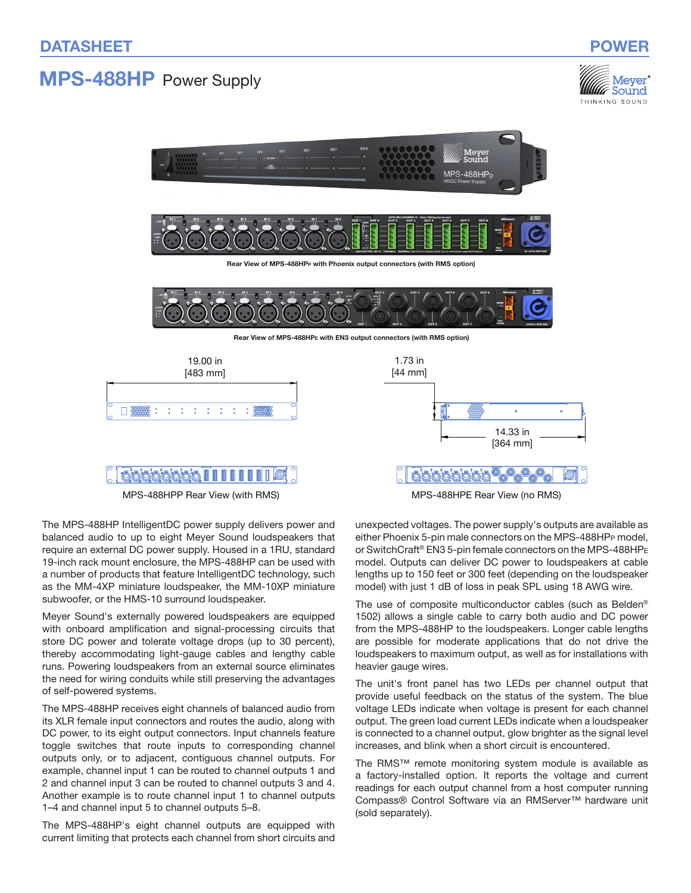# MPS-488HP Power Supply





MPS-488HPP Rear View (with RMS) MPS-488HPE Rear View (no RMS)

The MPS‑488HP IntelligentDC power supply delivers power and balanced audio to up to eight Meyer Sound loudspeakers that require an external DC power supply. Housed in a 1RU, standard 19-inch rack mount enclosure, the MPS‑488HP can be used with a number of products that feature IntelligentDC technology, such as the MM‑4XP miniature loudspeaker, the MM‑10XP miniature subwoofer, or the HMS-10 surround loudspeaker.

Meyer Sound's externally powered loudspeakers are equipped with onboard amplification and signal-processing circuits that store DC power and tolerate voltage drops (up to 30 percent), thereby accommodating light-gauge cables and lengthy cable runs. Powering loudspeakers from an external source eliminates the need for wiring conduits while still preserving the advantages of self-powered systems.

The MPS‑488HP receives eight channels of balanced audio from its XLR female input connectors and routes the audio, along with DC power, to its eight output connectors. Input channels feature toggle switches that route inputs to corresponding channel outputs only, or to adjacent, contiguous channel outputs. For example, channel input 1 can be routed to channel outputs 1 and 2 and channel input 3 can be routed to channel outputs 3 and 4. Another example is to route channel input 1 to channel outputs 1–4 and channel input 5 to channel outputs 5–8.

The MPS‑488HP's eight channel outputs are equipped with current limiting that protects each channel from short circuits and unexpected voltages. The power supply's outputs are available as either Phoenix 5-pin male connectors on the MPS‑488HPp model, or SwitchCraft® EN3 5-pin female connectors on the MPS‑488HP<sup>e</sup> model. Outputs can deliver DC power to loudspeakers at cable lengths up to 150 feet or 300 feet (depending on the loudspeaker model) with just 1 dB of loss in peak SPL using 18 AWG wire.

The use of composite multiconductor cables (such as Belden® 1502) allows a single cable to carry both audio and DC power from the MPS‑488HP to the loudspeakers. Longer cable lengths are possible for moderate applications that do not drive the loudspeakers to maximum output, as well as for installations with heavier gauge wires.

The unit's front panel has two LEDs per channel output that provide useful feedback on the status of the system. The blue voltage LEDs indicate when voltage is present for each channel output. The green load current LEDs indicate when a loudspeaker is connected to a channel output, glow brighter as the signal level increases, and blink when a short circuit is encountered.

The RMS™ remote monitoring system module is available as a factory-installed option. It reports the voltage and current readings for each output channel from a host computer running Compass® Control Software via an RMServer™ hardware unit (sold separately).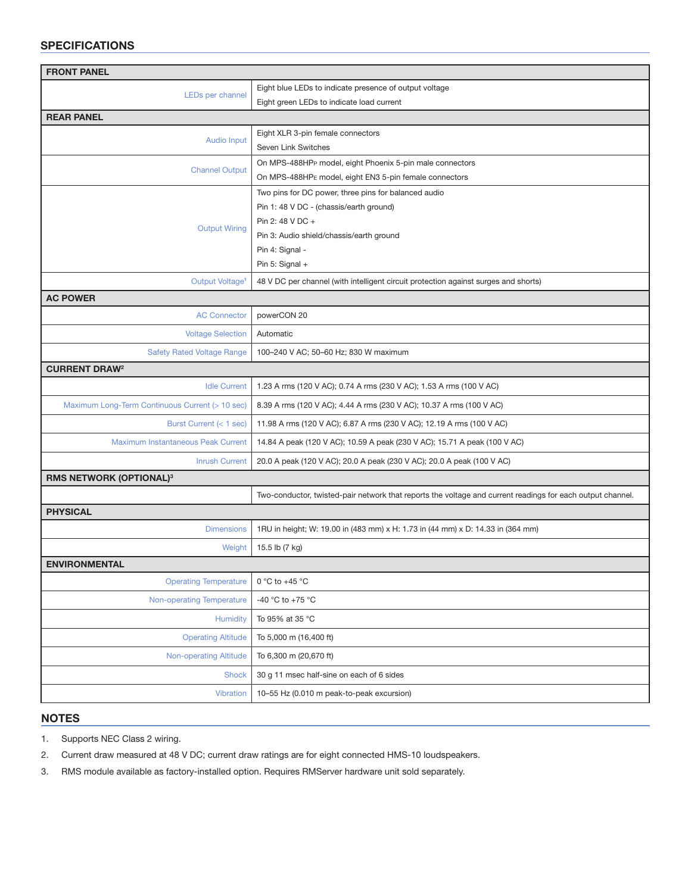# **SPECIFICATIONS**

| <b>FRONT PANEL</b>                              |                                                                                                                    |
|-------------------------------------------------|--------------------------------------------------------------------------------------------------------------------|
| LEDs per channel                                | Eight blue LEDs to indicate presence of output voltage                                                             |
|                                                 | Eight green LEDs to indicate load current                                                                          |
| <b>REAR PANEL</b>                               |                                                                                                                    |
| <b>Audio Input</b>                              | Eight XLR 3-pin female connectors                                                                                  |
|                                                 | Seven Link Switches                                                                                                |
| <b>Channel Output</b>                           | On MPS-488HPP model, eight Phoenix 5-pin male connectors<br>On MPS-488HPE model, eight EN3 5-pin female connectors |
|                                                 | Two pins for DC power, three pins for balanced audio                                                               |
| <b>Output Wiring</b>                            | Pin 1: 48 V DC - (chassis/earth ground)                                                                            |
|                                                 | Pin 2: 48 V DC +                                                                                                   |
|                                                 | Pin 3: Audio shield/chassis/earth ground                                                                           |
|                                                 | Pin 4: Signal -                                                                                                    |
|                                                 | Pin 5: Signal $+$                                                                                                  |
| Output Voltage <sup>1</sup>                     | 48 V DC per channel (with intelligent circuit protection against surges and shorts)                                |
| <b>AC POWER</b>                                 |                                                                                                                    |
| <b>AC Connector</b>                             | powerCON 20                                                                                                        |
| <b>Voltage Selection</b>                        | Automatic                                                                                                          |
| <b>Safety Rated Voltage Range</b>               | 100-240 V AC; 50-60 Hz; 830 W maximum                                                                              |
| <b>CURRENT DRAW<sup>2</sup></b>                 |                                                                                                                    |
| <b>Idle Current</b>                             | 1.23 A rms (120 V AC); 0.74 A rms (230 V AC); 1.53 A rms (100 V AC)                                                |
| Maximum Long-Term Continuous Current (> 10 sec) | 8.39 A rms (120 V AC); 4.44 A rms (230 V AC); 10.37 A rms (100 V AC)                                               |
| Burst Current (< 1 sec)                         | 11.98 A rms (120 V AC); 6.87 A rms (230 V AC); 12.19 A rms (100 V AC)                                              |
| Maximum Instantaneous Peak Current              | 14.84 A peak (120 V AC); 10.59 A peak (230 V AC); 15.71 A peak (100 V AC)                                          |
| <b>Inrush Current</b>                           | 20.0 A peak (120 V AC); 20.0 A peak (230 V AC); 20.0 A peak (100 V AC)                                             |
| <b>RMS NETWORK (OPTIONAL)3</b>                  |                                                                                                                    |
|                                                 | Two-conductor, twisted-pair network that reports the voltage and current readings for each output channel.         |
| <b>PHYSICAL</b>                                 |                                                                                                                    |
| <b>Dimensions</b>                               | 1RU in height; W: 19.00 in (483 mm) x H: 1.73 in (44 mm) x D: 14.33 in (364 mm)                                    |
| Weight                                          | 15.5 lb (7 kg)                                                                                                     |
| <b>ENVIRONMENTAL</b>                            |                                                                                                                    |
| <b>Operating Temperature</b>                    | 0 °C to +45 $\degree$ C                                                                                            |
| <b>Non-operating Temperature</b>                | -40 °C to +75 °C                                                                                                   |
| Humidity                                        | To 95% at 35 °C                                                                                                    |
| <b>Operating Altitude</b>                       | To 5,000 m (16,400 ft)                                                                                             |
| <b>Non-operating Altitude</b>                   | To 6,300 m (20,670 ft)                                                                                             |
| <b>Shock</b>                                    | 30 g 11 msec half-sine on each of 6 sides                                                                          |
| Vibration                                       | 10-55 Hz (0.010 m peak-to-peak excursion)                                                                          |

### NOTES

1. Supports NEC Class 2 wiring.

2. Current draw measured at 48 V DC; current draw ratings are for eight connected HMS-10 loudspeakers.

3. RMS module available as factory-installed option. Requires RMServer hardware unit sold separately.